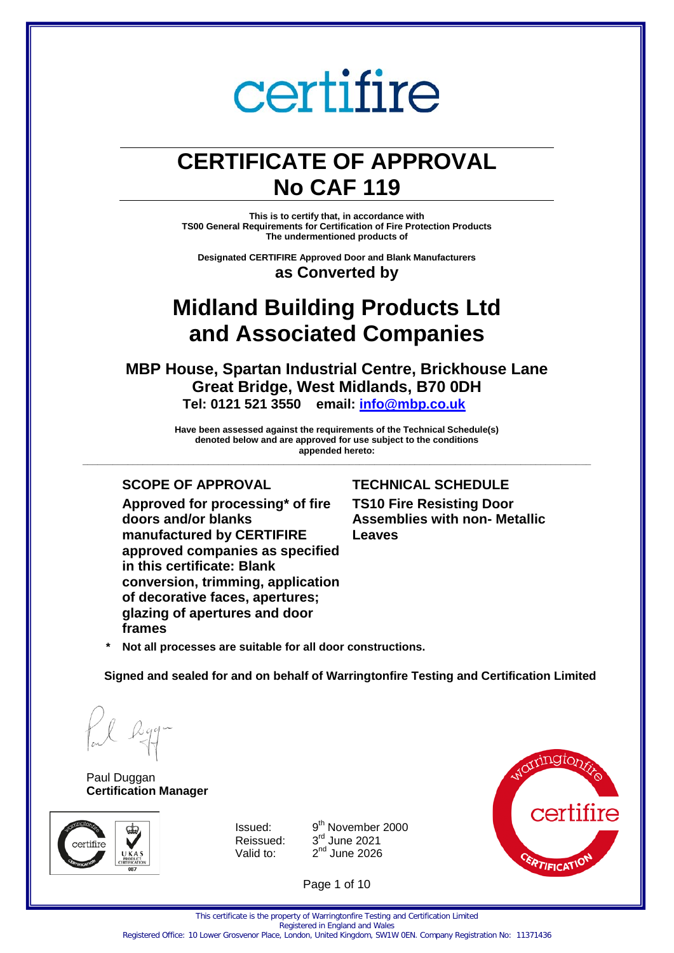## **CERTIFICATE OF APPROVAL No CAF 119**

**This is to certify that, in accordance with TS00 General Requirements for Certification of Fire Protection Products The undermentioned products of** 

**Designated CERTIFIRE Approved Door and Blank Manufacturers as Converted by** 

### **Midland Building Products Ltd and Associated Companies**

**MBP House, Spartan Industrial Centre, Brickhouse Lane Great Bridge, West Midlands, B70 0DH Tel: 0121 521 3550 email: [info@mbp.co.uk](mailto:info@mbp.co.uk)**

**Have been assessed against the requirements of the Technical Schedule(s) denoted below and are approved for use subject to the conditions appended hereto: \_\_\_\_\_\_\_\_\_\_\_\_\_\_\_\_\_\_\_\_\_\_\_\_\_\_\_\_\_\_\_\_\_\_\_\_\_\_\_\_\_\_\_\_\_\_\_\_\_\_\_\_\_\_\_\_\_\_\_\_\_\_\_\_\_\_\_\_\_\_\_\_\_\_\_\_\_\_\_\_\_\_\_\_\_\_\_\_\_\_\_\_\_\_\_\_\_\_\_\_\_**

**Approved for processing\* of fire doors and/or blanks manufactured by CERTIFIRE approved companies as specified in this certificate: Blank conversion, trimming, application of decorative faces, apertures; glazing of apertures and door frames**

#### **SCOPE OF APPROVAL TECHNICAL SCHEDULE**

**TS10 Fire Resisting Door Assemblies with non- Metallic Leaves**

**\* Not all processes are suitable for all door constructions.**

**Signed and sealed for and on behalf of Warringtonfire Testing and Certification Limited**

Paul Duggan **Certification Manager**



Issued: 9 Reissued: Valid to:

9<sup>th</sup> November 2000  $3<sup>rd</sup>$  June 2021  $2<sup>nd</sup>$  June 2026



Page 1 of 10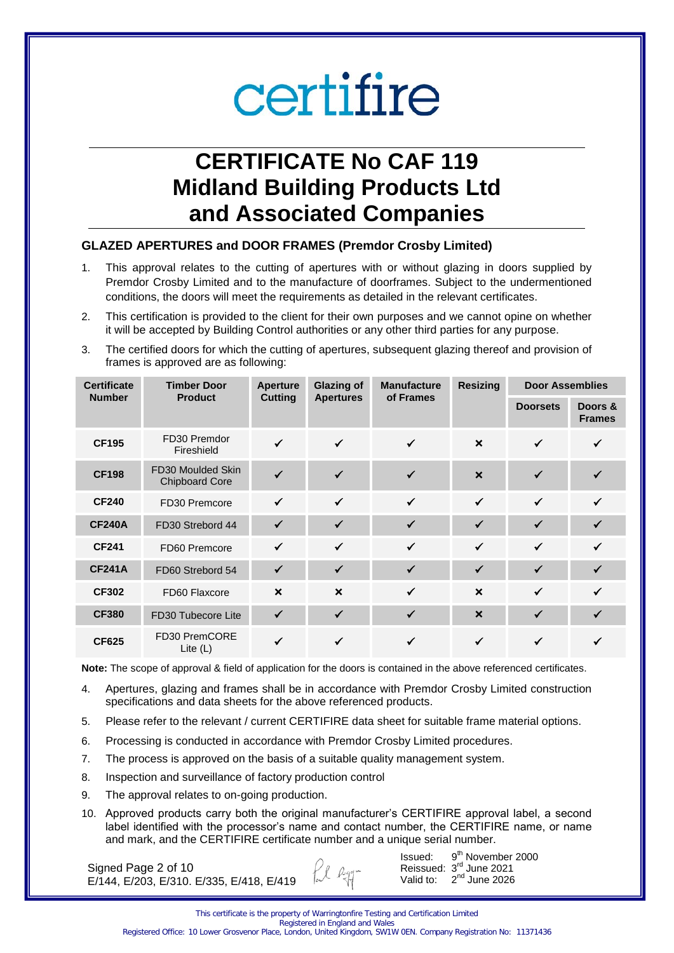## **CERTIFICATE No CAF 119 Midland Building Products Ltd and Associated Companies**

### **GLAZED APERTURES and DOOR FRAMES (Premdor Crosby Limited)**

- 1. This approval relates to the cutting of apertures with or without glazing in doors supplied by Premdor Crosby Limited and to the manufacture of doorframes. Subject to the undermentioned conditions, the doors will meet the requirements as detailed in the relevant certificates.
- 2. This certification is provided to the client for their own purposes and we cannot opine on whether it will be accepted by Building Control authorities or any other third parties for any purpose.
- 3. The certified doors for which the cutting of apertures, subsequent glazing thereof and provision of frames is approved are as following:

| <b>Certificate</b> | <b>Timber Door</b>                         | <b>Aperture</b>           | <b>Glazing of</b>         | <b>Manufacture</b> | <b>Resizing</b>           | <b>Door Assemblies</b> |                          |
|--------------------|--------------------------------------------|---------------------------|---------------------------|--------------------|---------------------------|------------------------|--------------------------|
| <b>Number</b>      | <b>Product</b>                             | <b>Cutting</b>            | <b>Apertures</b>          | of Frames          |                           | <b>Doorsets</b>        | Doors &<br><b>Frames</b> |
| <b>CF195</b>       | FD30 Premdor<br>Fireshield                 | ✔                         | $\checkmark$              | $\checkmark$       | $\boldsymbol{\mathsf{x}}$ | ✓                      |                          |
| <b>CF198</b>       | FD30 Moulded Skin<br><b>Chipboard Core</b> |                           |                           | ✓                  | $\boldsymbol{\mathsf{x}}$ | $\checkmark$           |                          |
| <b>CF240</b>       | FD30 Premcore                              | $\checkmark$              | $\checkmark$              | $\checkmark$       | $\checkmark$              | $\checkmark$           | ✓                        |
| <b>CF240A</b>      | FD30 Strebord 44                           |                           |                           | ✓                  | ✓                         | $\checkmark$           |                          |
| <b>CF241</b>       | FD60 Premcore                              | ✓                         | $\checkmark$              | $\checkmark$       | $\checkmark$              | $\checkmark$           | ✓                        |
| <b>CF241A</b>      | FD60 Strebord 54                           | ✓                         | ✓                         | ✓                  | $\checkmark$              | $\checkmark$           |                          |
| <b>CF302</b>       | FD60 Flaxcore                              | $\boldsymbol{\mathsf{x}}$ | $\boldsymbol{\mathsf{x}}$ | $\checkmark$       | $\boldsymbol{\mathsf{x}}$ | $\checkmark$           | ✓                        |
| <b>CF380</b>       | FD30 Tubecore Lite                         | $\checkmark$              | ✓                         | ✓                  | $\boldsymbol{\mathsf{x}}$ | $\checkmark$           | ✓                        |
| <b>CF625</b>       | FD30 PremCORE<br>Lite $(L)$                |                           |                           |                    |                           |                        |                          |

**Note:** The scope of approval & field of application for the doors is contained in the above referenced certificates.

- 4. Apertures, glazing and frames shall be in accordance with Premdor Crosby Limited construction specifications and data sheets for the above referenced products.
- 5. Please refer to the relevant / current CERTIFIRE data sheet for suitable frame material options.
- 6. Processing is conducted in accordance with Premdor Crosby Limited procedures.
- 7. The process is approved on the basis of a suitable quality management system.
- 8. Inspection and surveillance of factory production control
- 9. The approval relates to on-going production.
- 10. Approved products carry both the original manufacturer's CERTIFIRE approval label, a second label identified with the processor's name and contact number, the CERTIFIRE name, or name and mark, and the CERTIFIRE certificate number and a unique serial number.

Ll Rgg-

Signed Page 2 of 10 E/144, E/203, E/310. E/335, E/418, E/419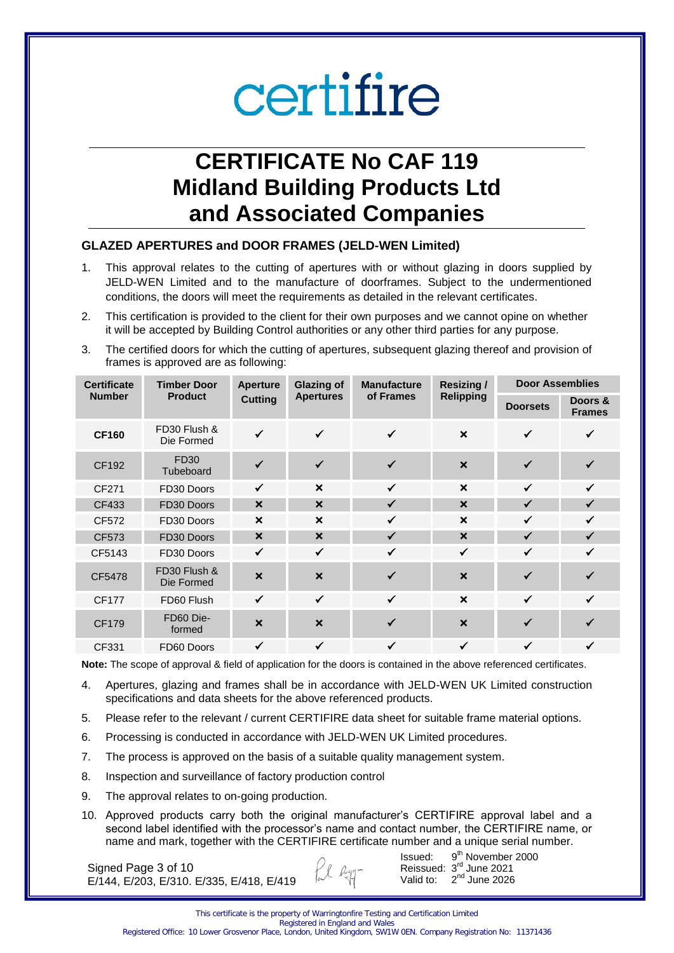## **CERTIFICATE No CAF 119 Midland Building Products Ltd and Associated Companies**

#### **GLAZED APERTURES and DOOR FRAMES (JELD-WEN Limited)**

- 1. This approval relates to the cutting of apertures with or without glazing in doors supplied by JELD-WEN Limited and to the manufacture of doorframes. Subject to the undermentioned conditions, the doors will meet the requirements as detailed in the relevant certificates.
- 2. This certification is provided to the client for their own purposes and we cannot opine on whether it will be accepted by Building Control authorities or any other third parties for any purpose.
- 3. The certified doors for which the cutting of apertures, subsequent glazing thereof and provision of frames is approved are as following:

| <b>Certificate</b> | <b>Timber Door</b>         |                           | <b>Glazing of</b>         | <b>Manufacture</b> | <b>Resizing/</b>          | <b>Door Assemblies</b> |                          |
|--------------------|----------------------------|---------------------------|---------------------------|--------------------|---------------------------|------------------------|--------------------------|
| <b>Number</b>      | <b>Product</b>             | <b>Cutting</b>            | <b>Apertures</b>          | of Frames          | <b>Relipping</b>          | <b>Doorsets</b>        | Doors &<br><b>Frames</b> |
| <b>CF160</b>       | FD30 Flush &<br>Die Formed | $\checkmark$              | $\checkmark$              | $\checkmark$       | $\boldsymbol{\mathsf{x}}$ | $\checkmark$           | ✓                        |
| CF192              | FD30<br>Tubeboard          |                           | $\checkmark$              | ✓                  | $\boldsymbol{\mathsf{x}}$ | $\checkmark$           |                          |
| CF271              | FD30 Doors                 | $\checkmark$              | $\boldsymbol{\mathsf{x}}$ | $\checkmark$       | $\boldsymbol{\mathsf{x}}$ | $\checkmark$           | $\checkmark$             |
| CF433              | FD30 Doors                 | $\boldsymbol{\mathsf{x}}$ | $\boldsymbol{\mathsf{x}}$ | $\checkmark$       | $\boldsymbol{\mathsf{x}}$ | ✓                      | $\checkmark$             |
| CF572              | FD30 Doors                 | $\boldsymbol{\mathsf{x}}$ | $\boldsymbol{\mathsf{x}}$ | $\checkmark$       | $\boldsymbol{\mathsf{x}}$ | $\checkmark$           | $\checkmark$             |
| CF573              | FD30 Doors                 | $\boldsymbol{\mathsf{x}}$ | $\boldsymbol{\mathsf{x}}$ | $\checkmark$       | $\boldsymbol{\mathsf{x}}$ | $\checkmark$           | $\checkmark$             |
| CF5143             | FD30 Doors                 | $\checkmark$              | $\checkmark$              | $\checkmark$       | $\checkmark$              | $\checkmark$           | $\checkmark$             |
| CF5478             | FD30 Flush &<br>Die Formed | $\boldsymbol{\mathsf{x}}$ | $\boldsymbol{\mathsf{x}}$ | ✓                  | $\boldsymbol{\mathsf{x}}$ | ✓                      |                          |
| <b>CF177</b>       | FD60 Flush                 | $\checkmark$              | $\checkmark$              | $\checkmark$       | $\boldsymbol{\mathsf{x}}$ | $\checkmark$           | $\checkmark$             |
| <b>CF179</b>       | FD60 Die-<br>formed        | $\boldsymbol{\mathsf{x}}$ | $\boldsymbol{\mathsf{x}}$ | ✓                  | $\boldsymbol{\mathsf{x}}$ | $\checkmark$           | ✔                        |
| CF331              | FD60 Doors                 | ✓                         | $\checkmark$              | ✓                  | ✓                         | ✓                      | $\checkmark$             |

**Note:** The scope of approval & field of application for the doors is contained in the above referenced certificates.

- 4. Apertures, glazing and frames shall be in accordance with JELD-WEN UK Limited construction specifications and data sheets for the above referenced products.
- 5. Please refer to the relevant / current CERTIFIRE data sheet for suitable frame material options.
- 6. Processing is conducted in accordance with JELD-WEN UK Limited procedures.
- 7. The process is approved on the basis of a suitable quality management system.
- 8. Inspection and surveillance of factory production control
- 9. The approval relates to on-going production.
- 10. Approved products carry both the original manufacturer's CERTIFIRE approval label and a second label identified with the processor's name and contact number, the CERTIFIRE name, or name and mark, together with the CERTIFIRE certificate number and a unique serial number.

Signed Page 3 of 10 E/144, E/203, E/310. E/335, E/418, E/419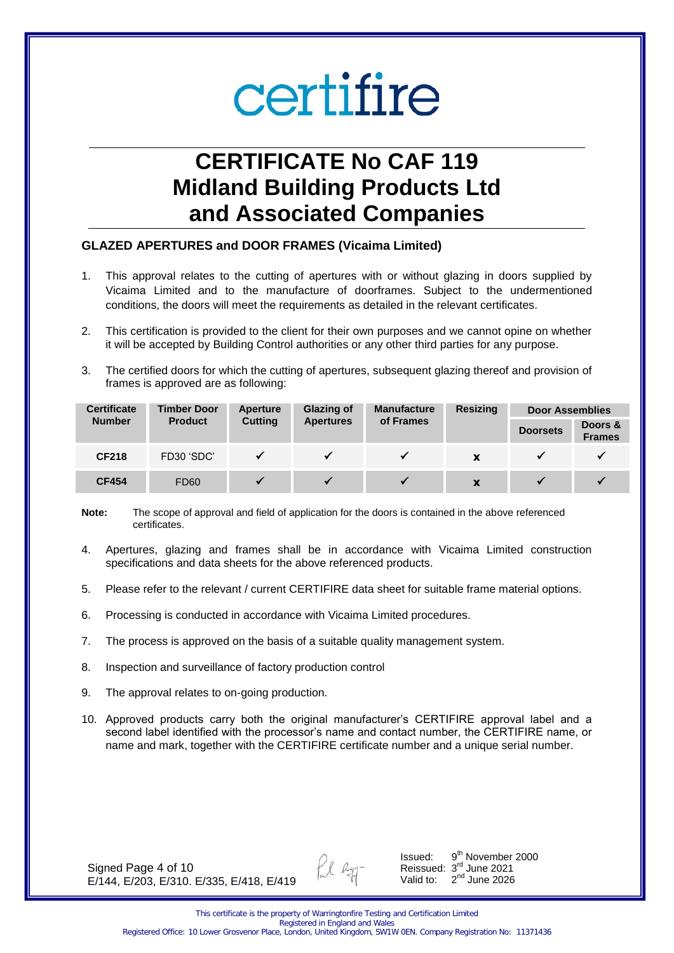## **CERTIFICATE No CAF 119 Midland Building Products Ltd and Associated Companies**

#### **GLAZED APERTURES and DOOR FRAMES (Vicaima Limited)**

- 1. This approval relates to the cutting of apertures with or without glazing in doors supplied by Vicaima Limited and to the manufacture of doorframes. Subject to the undermentioned conditions, the doors will meet the requirements as detailed in the relevant certificates.
- 2. This certification is provided to the client for their own purposes and we cannot opine on whether it will be accepted by Building Control authorities or any other third parties for any purpose.
- 3. The certified doors for which the cutting of apertures, subsequent glazing thereof and provision of frames is approved are as following:

| <b>Certificate</b> | <b>Glazing of</b><br><b>Timber Door</b><br>Aperture |                | <b>Manufacture</b> | <b>Resizing</b> | <b>Door Assemblies</b> |                 |                          |
|--------------------|-----------------------------------------------------|----------------|--------------------|-----------------|------------------------|-----------------|--------------------------|
| <b>Number</b>      | <b>Product</b>                                      | <b>Cutting</b> | <b>Apertures</b>   | of Frames       |                        | <b>Doorsets</b> | Doors &<br><b>Frames</b> |
| <b>CF218</b>       | FD30 'SDC'                                          |                |                    |                 | X                      |                 |                          |
| <b>CF454</b>       | <b>FD60</b>                                         |                |                    |                 | X                      |                 |                          |

**Note:** The scope of approval and field of application for the doors is contained in the above referenced certificates.

- 4. Apertures, glazing and frames shall be in accordance with Vicaima Limited construction specifications and data sheets for the above referenced products.
- 5. Please refer to the relevant / current CERTIFIRE data sheet for suitable frame material options.
- 6. Processing is conducted in accordance with Vicaima Limited procedures.
- 7. The process is approved on the basis of a suitable quality management system.
- 8. Inspection and surveillance of factory production control
- 9. The approval relates to on-going production.
- 10. Approved products carry both the original manufacturer's CERTIFIRE approval label and a second label identified with the processor's name and contact number, the CERTIFIRE name, or name and mark, together with the CERTIFIRE certificate number and a unique serial number.

Signed Page 4 of 10 E/144, E/203, E/310. E/335, E/418, E/419

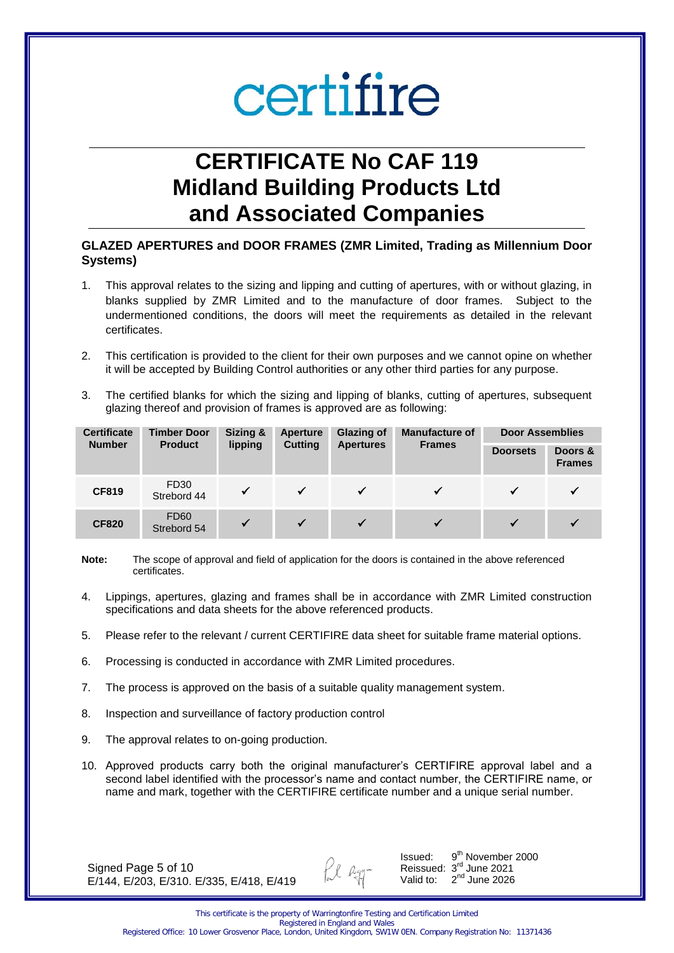## **CERTIFICATE No CAF 119 Midland Building Products Ltd and Associated Companies**

#### **GLAZED APERTURES and DOOR FRAMES (ZMR Limited, Trading as Millennium Door Systems)**

- 1. This approval relates to the sizing and lipping and cutting of apertures, with or without glazing, in blanks supplied by ZMR Limited and to the manufacture of door frames. Subject to the undermentioned conditions, the doors will meet the requirements as detailed in the relevant certificates.
- 2. This certification is provided to the client for their own purposes and we cannot opine on whether it will be accepted by Building Control authorities or any other third parties for any purpose.
- 3. The certified blanks for which the sizing and lipping of blanks, cutting of apertures, subsequent glazing thereof and provision of frames is approved are as following:

| <b>Certificate</b> | Sizing &<br><b>Timber Door</b><br>Aperture<br><b>Number</b><br>lipping<br><b>Cutting</b><br><b>Product</b><br><b>Apertures</b> |              |              | <b>Glazing of</b> | <b>Manufacture of</b> | <b>Door Assemblies</b>   |  |
|--------------------|--------------------------------------------------------------------------------------------------------------------------------|--------------|--------------|-------------------|-----------------------|--------------------------|--|
|                    |                                                                                                                                |              |              | <b>Frames</b>     | <b>Doorsets</b>       | Doors &<br><b>Frames</b> |  |
| <b>CF819</b>       | FD30<br>Strebord 44                                                                                                            | $\checkmark$ | $\checkmark$ | $\checkmark$      |                       |                          |  |
| <b>CF820</b>       | <b>FD60</b><br>Strebord 54                                                                                                     | $\checkmark$ | $\checkmark$ | $\checkmark$      |                       |                          |  |

- **Note:** The scope of approval and field of application for the doors is contained in the above referenced certificates.
- 4. Lippings, apertures, glazing and frames shall be in accordance with ZMR Limited construction specifications and data sheets for the above referenced products.
- 5. Please refer to the relevant / current CERTIFIRE data sheet for suitable frame material options.
- 6. Processing is conducted in accordance with ZMR Limited procedures.
- 7. The process is approved on the basis of a suitable quality management system.
- 8. Inspection and surveillance of factory production control
- 9. The approval relates to on-going production.
- 10. Approved products carry both the original manufacturer's CERTIFIRE approval label and a second label identified with the processor's name and contact number, the CERTIFIRE name, or name and mark, together with the CERTIFIRE certificate number and a unique serial number.

Signed Page 5 of 10 E/144, E/203, E/310. E/335, E/418, E/419

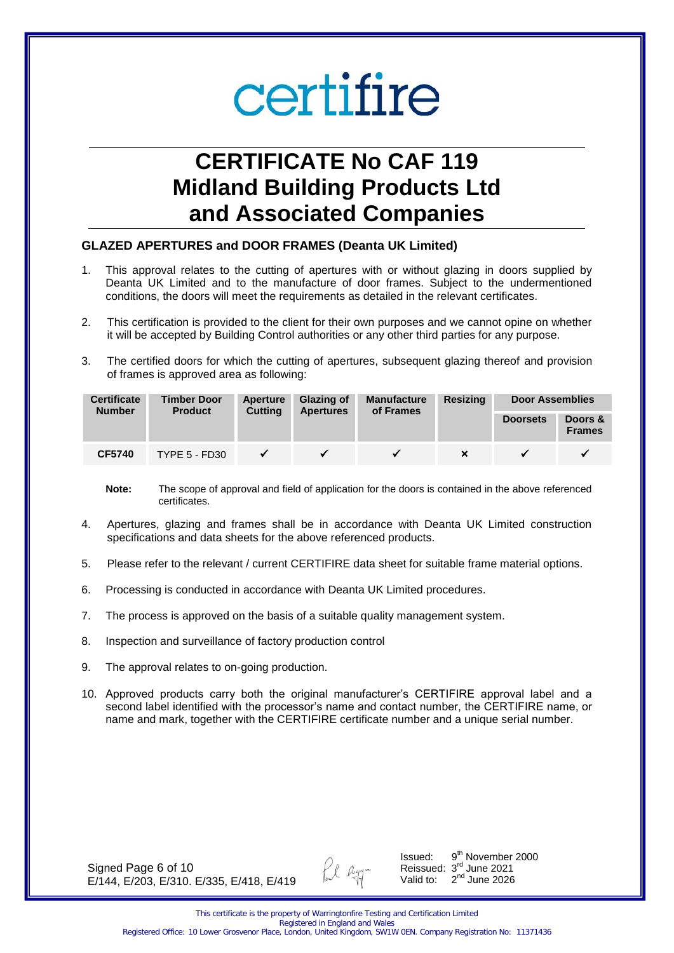## **CERTIFICATE No CAF 119 Midland Building Products Ltd and Associated Companies**

#### **GLAZED APERTURES and DOOR FRAMES (Deanta UK Limited)**

- 1. This approval relates to the cutting of apertures with or without glazing in doors supplied by Deanta UK Limited and to the manufacture of door frames. Subject to the undermentioned conditions, the doors will meet the requirements as detailed in the relevant certificates.
- 2. This certification is provided to the client for their own purposes and we cannot opine on whether it will be accepted by Building Control authorities or any other third parties for any purpose.
- 3. The certified doors for which the cutting of apertures, subsequent glazing thereof and provision of frames is approved area as following:

| <b>Certificate</b><br><b>Number</b> | Glazing of<br><b>Timber Door</b><br>Aperture<br><b>Cutting</b><br><b>Product</b> |              | <b>Manufacture</b><br>of Frames | <b>Resizing</b><br><b>Door Assemblies</b> |  |                 |                          |
|-------------------------------------|----------------------------------------------------------------------------------|--------------|---------------------------------|-------------------------------------------|--|-----------------|--------------------------|
|                                     |                                                                                  |              | <b>Apertures</b>                |                                           |  | <b>Doorsets</b> | Doors &<br><b>Frames</b> |
| <b>CF5740</b>                       | <b>TYPE 5 - FD30</b>                                                             | $\checkmark$ |                                 |                                           |  |                 |                          |

- **Note:** The scope of approval and field of application for the doors is contained in the above referenced certificates.
- 4. Apertures, glazing and frames shall be in accordance with Deanta UK Limited construction specifications and data sheets for the above referenced products.
- 5. Please refer to the relevant / current CERTIFIRE data sheet for suitable frame material options.
- 6. Processing is conducted in accordance with Deanta UK Limited procedures.
- 7. The process is approved on the basis of a suitable quality management system.
- 8. Inspection and surveillance of factory production control
- 9. The approval relates to on-going production.
- 10. Approved products carry both the original manufacturer's CERTIFIRE approval label and a second label identified with the processor's name and contact number, the CERTIFIRE name, or name and mark, together with the CERTIFIRE certificate number and a unique serial number.

Signed Page 6 of 10 E/144, E/203, E/310. E/335, E/418, E/419

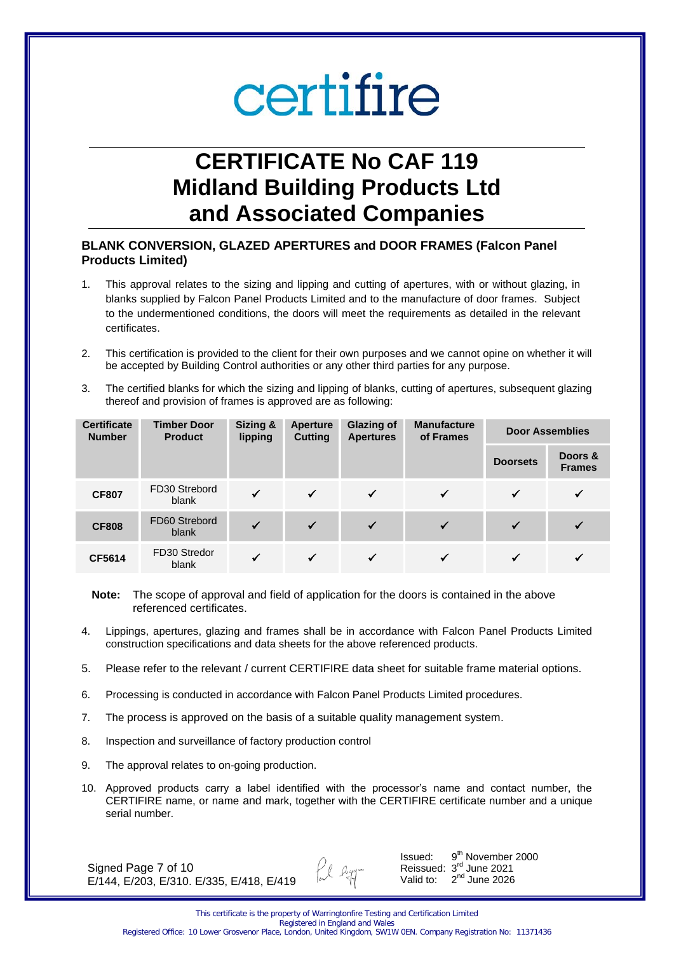## **CERTIFICATE No CAF 119 Midland Building Products Ltd and Associated Companies**

### **BLANK CONVERSION, GLAZED APERTURES and DOOR FRAMES (Falcon Panel Products Limited)**

- 1. This approval relates to the sizing and lipping and cutting of apertures, with or without glazing, in blanks supplied by Falcon Panel Products Limited and to the manufacture of door frames. Subject to the undermentioned conditions, the doors will meet the requirements as detailed in the relevant certificates.
- 2. This certification is provided to the client for their own purposes and we cannot opine on whether it will be accepted by Building Control authorities or any other third parties for any purpose.
- 3. The certified blanks for which the sizing and lipping of blanks, cutting of apertures, subsequent glazing thereof and provision of frames is approved are as following:

| <b>Certificate</b><br><b>Number</b> | <b>Timber Door</b><br><b>Product</b> | Sizing &<br>lipping | Aperture<br><b>Cutting</b> | <b>Glazing of</b><br><b>Apertures</b> | <b>Manufacture</b><br>of Frames |                 | <b>Door Assemblies</b>   |
|-------------------------------------|--------------------------------------|---------------------|----------------------------|---------------------------------------|---------------------------------|-----------------|--------------------------|
|                                     |                                      |                     |                            |                                       |                                 | <b>Doorsets</b> | Doors &<br><b>Frames</b> |
| <b>CF807</b>                        | FD30 Strebord<br>blank               | $\checkmark$        | $\checkmark$               | ✓                                     | ✓                               | ✓               | $\checkmark$             |
| <b>CF808</b>                        | FD60 Strebord<br>blank               |                     | $\checkmark$               | ✓                                     | ✓                               | ✓               |                          |
| CF5614                              | FD30 Stredor<br>blank                |                     | $\checkmark$               | ✓                                     | ✓                               |                 |                          |

**Note:** The scope of approval and field of application for the doors is contained in the above referenced certificates.

- 4. Lippings, apertures, glazing and frames shall be in accordance with Falcon Panel Products Limited construction specifications and data sheets for the above referenced products.
- 5. Please refer to the relevant / current CERTIFIRE data sheet for suitable frame material options.
- 6. Processing is conducted in accordance with Falcon Panel Products Limited procedures.
- 7. The process is approved on the basis of a suitable quality management system.
- 8. Inspection and surveillance of factory production control
- 9. The approval relates to on-going production.
- 10. Approved products carry a label identified with the processor's name and contact number, the CERTIFIRE name, or name and mark, together with the CERTIFIRE certificate number and a unique serial number.

Signed Page 7 of 10 E/144, E/203, E/310. E/335, E/418, E/419 Issued: 9 9<sup>th</sup> November 2000 Reissued: 3rd June 2021 Valid to:  $2<sup>nd</sup>$  June 2026

fil agg-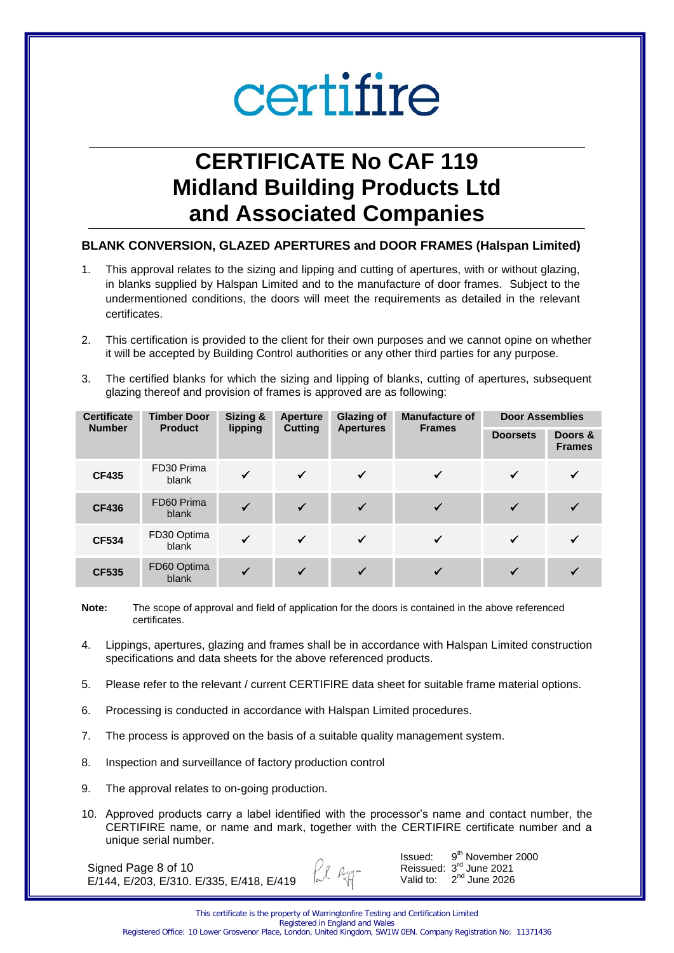## **CERTIFICATE No CAF 119 Midland Building Products Ltd and Associated Companies**

#### **BLANK CONVERSION, GLAZED APERTURES and DOOR FRAMES (Halspan Limited)**

- 1. This approval relates to the sizing and lipping and cutting of apertures, with or without glazing, in blanks supplied by Halspan Limited and to the manufacture of door frames. Subject to the undermentioned conditions, the doors will meet the requirements as detailed in the relevant certificates.
- 2. This certification is provided to the client for their own purposes and we cannot opine on whether it will be accepted by Building Control authorities or any other third parties for any purpose.
- 3. The certified blanks for which the sizing and lipping of blanks, cutting of apertures, subsequent glazing thereof and provision of frames is approved are as following:

| <b>Certificate</b><br><b>Timber Door</b> |                      | Sizing &     | <b>Aperture</b> | <b>Glazing of</b> | <b>Manufacture of</b> | <b>Door Assemblies</b> |                          |
|------------------------------------------|----------------------|--------------|-----------------|-------------------|-----------------------|------------------------|--------------------------|
| <b>Number</b>                            | <b>Product</b>       | lipping      | <b>Cutting</b>  | <b>Apertures</b>  | <b>Frames</b>         | <b>Doorsets</b>        | Doors &<br><b>Frames</b> |
| <b>CF435</b>                             | FD30 Prima<br>blank  | $\checkmark$ | $\checkmark$    | $\checkmark$      |                       |                        | ✓                        |
| <b>CF436</b>                             | FD60 Prima<br>blank  |              | $\checkmark$    | $\checkmark$      |                       |                        |                          |
| <b>CF534</b>                             | FD30 Optima<br>blank | $\checkmark$ | ✓               | $\checkmark$      |                       |                        | $\checkmark$             |
| <b>CF535</b>                             | FD60 Optima<br>blank | $\checkmark$ |                 | $\checkmark$      |                       |                        |                          |

**Note:** The scope of approval and field of application for the doors is contained in the above referenced certificates.

- 4. Lippings, apertures, glazing and frames shall be in accordance with Halspan Limited construction specifications and data sheets for the above referenced products.
- 5. Please refer to the relevant / current CERTIFIRE data sheet for suitable frame material options.
- 6. Processing is conducted in accordance with Halspan Limited procedures.
- 7. The process is approved on the basis of a suitable quality management system.
- 8. Inspection and surveillance of factory production control
- 9. The approval relates to on-going production.
- 10. Approved products carry a label identified with the processor's name and contact number, the CERTIFIRE name, or name and mark, together with the CERTIFIRE certificate number and a unique serial number.

fil hyr-

Signed Page 8 of 10 E/144, E/203, E/310. E/335, E/418, E/419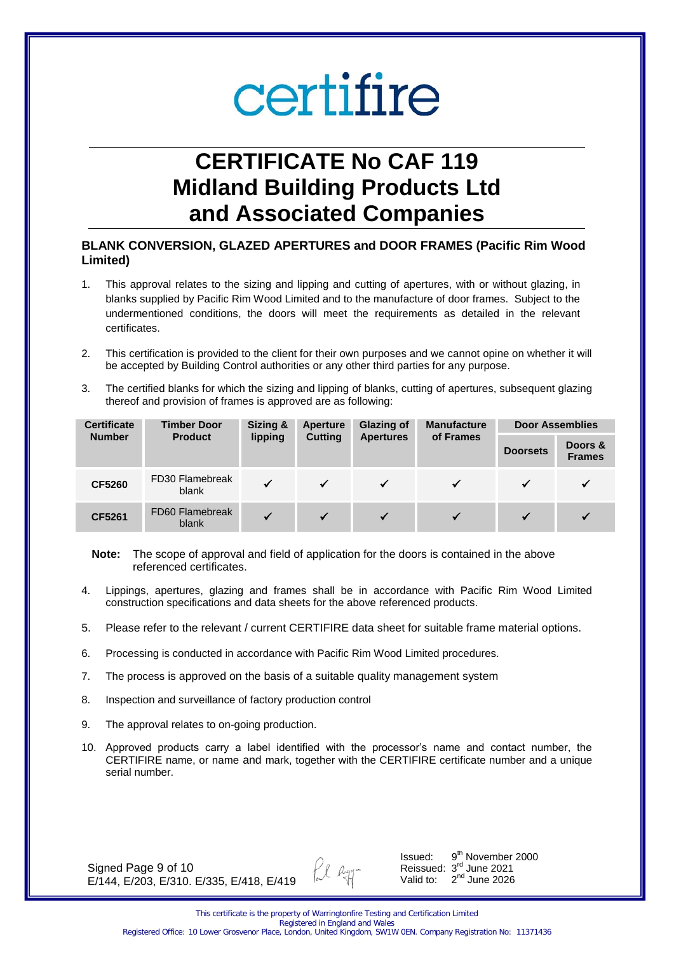### **CERTIFICATE No CAF 119 Midland Building Products Ltd and Associated Companies**

#### **BLANK CONVERSION, GLAZED APERTURES and DOOR FRAMES (Pacific Rim Wood Limited)**

- 1. This approval relates to the sizing and lipping and cutting of apertures, with or without glazing, in blanks supplied by Pacific Rim Wood Limited and to the manufacture of door frames. Subject to the undermentioned conditions, the doors will meet the requirements as detailed in the relevant certificates.
- 2. This certification is provided to the client for their own purposes and we cannot opine on whether it will be accepted by Building Control authorities or any other third parties for any purpose.
- 3. The certified blanks for which the sizing and lipping of blanks, cutting of apertures, subsequent glazing thereof and provision of frames is approved are as following:

| <b>Certificate</b> | Sizing &<br><b>Timber Door</b><br>lipping<br><b>Cutting</b><br><b>Product</b> |              | Aperture         | <b>Glazing of</b> | <b>Manufacture</b> | <b>Door Assemblies</b>   |  |
|--------------------|-------------------------------------------------------------------------------|--------------|------------------|-------------------|--------------------|--------------------------|--|
| <b>Number</b>      |                                                                               |              | <b>Apertures</b> | of Frames         | <b>Doorsets</b>    | Doors &<br><b>Frames</b> |  |
| <b>CF5260</b>      | FD30 Flamebreak<br>blank                                                      |              | $\checkmark$     | $\checkmark$      |                    |                          |  |
| CF5261             | FD60 Flamebreak<br>blank                                                      | $\checkmark$ | $\checkmark$     | $\checkmark$      |                    |                          |  |

**Note:** The scope of approval and field of application for the doors is contained in the above referenced certificates.

- 4. Lippings, apertures, glazing and frames shall be in accordance with Pacific Rim Wood Limited construction specifications and data sheets for the above referenced products.
- 5. Please refer to the relevant / current CERTIFIRE data sheet for suitable frame material options.
- 6. Processing is conducted in accordance with Pacific Rim Wood Limited procedures.
- 7. The process is approved on the basis of a suitable quality management system
- 8. Inspection and surveillance of factory production control
- 9. The approval relates to on-going production.
- 10. Approved products carry a label identified with the processor's name and contact number, the CERTIFIRE name, or name and mark, together with the CERTIFIRE certificate number and a unique serial number.

Signed Page 9 of 10 E/144, E/203, E/310. E/335, E/418, E/419 fil agg-